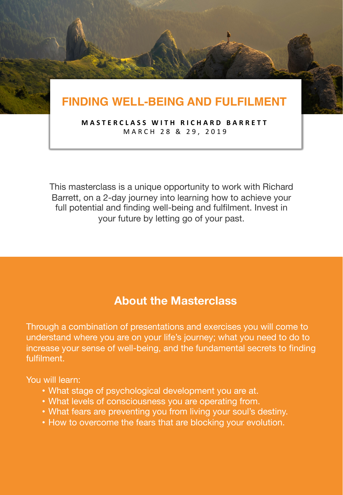# **FINDING WELL-BEING AND FULFILMENT**

**MASTERCLASS WITH RICHARD BARRETT** MARCH 28 & 29, 2019

This masterclass is a unique opportunity to work with Richard Barrett, on a 2-day journey into learning how to achieve your full potential and finding well-being and fulfilment. Invest in your future by letting go of your past.

### **About the Masterclass**

Through a combination of presentations and exercises you will come to understand where you are on your life's journey; what you need to do to increase your sense of well-being, and the fundamental secrets to finding fulfilment.

You will learn:

- What stage of psychological development you are at.
- What levels of consciousness you are operating from.
- What fears are preventing you from living your soul's destiny.
- How to overcome the fears that are blocking your evolution.